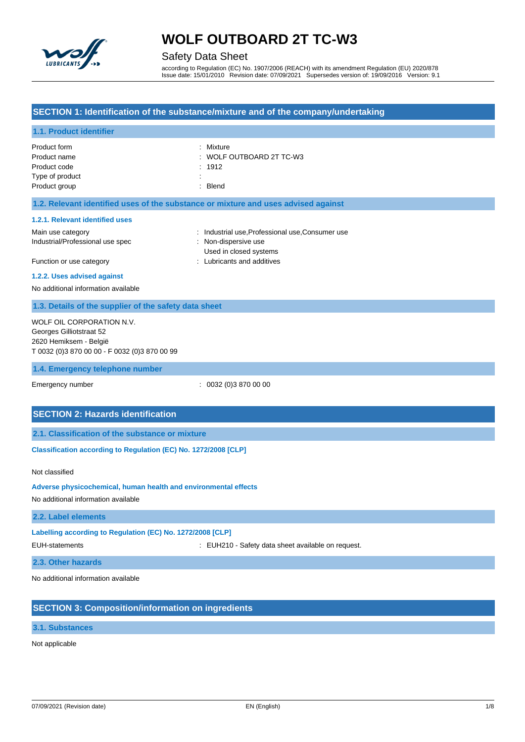

## Safety Data Sheet

according to Regulation (EC) No. 1907/2006 (REACH) with its amendment Regulation (EU) 2020/878 Issue date: 15/01/2010 Revision date: 07/09/2021 Supersedes version of: 19/09/2016 Version: 9.1

### **SECTION 1: Identification of the substance/mixture and of the company/undertaking**

## **1.1. Product identifier** Product form **: Mixture** Product name  $\qquad \qquad : \text{ WOLF OUTBOARD 2T TC-W3}$ Product code : 1912 Type of product : Product group **Example 20** is a set of the Blend control of the Blend control of the Blend control of the Blend **1.2. Relevant identified uses of the substance or mixture and uses advised against 1.2.1. Relevant identified uses** Main use category **industrial use, Professional use, Consumer use** in a label of the stategory in the stategory Industrial/Professional use spec : Non-dispersive use Used in closed systems Function or use category **interest and additives** : Lubricants and additives **1.2.2. Uses advised against** No additional information available **1.3. Details of the supplier of the safety data sheet 1.4. Emergency telephone number** Emergency number : 0032 (0)3 870 00 00 **SECTION 2: Hazards identification 2.1. Classification of the substance or mixture Classification according to Regulation (EC) No. 1272/2008 [CLP]** Not classified **Adverse physicochemical, human health and environmental effects** No additional information available **2.2. Label elements Labelling according to Regulation (EC) No. 1272/2008 [CLP]** EUH-statements : EUH210 - Safety data sheet available on request. **2.3. Other hazards** WOLF OIL CORPORATION N.V. Georges Gilliotstraat 52 2620 Hemiksem - België T 0032 (0)3 870 00 00 - F 0032 (0)3 870 00 99

No additional information available

## **SECTION 3: Composition/information on ingredients**

### **3.1. Substances**

Not applicable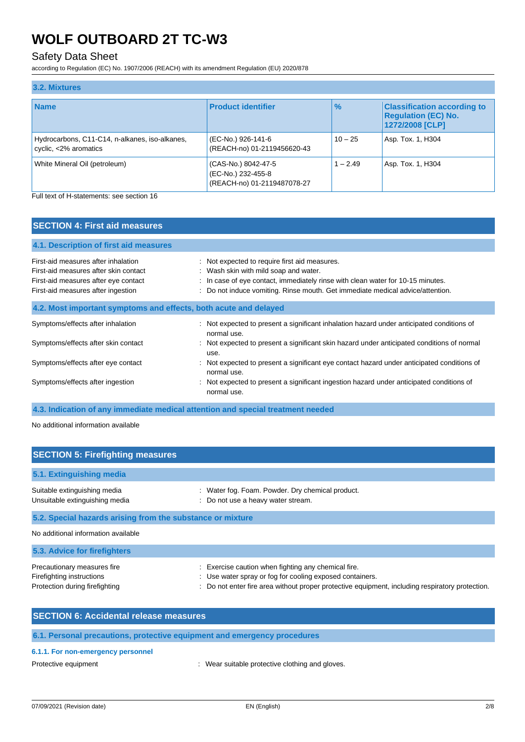## Safety Data Sheet

according to Regulation (EC) No. 1907/2006 (REACH) with its amendment Regulation (EU) 2020/878

| 3.2. Mixtures                                                           |                                                                          |               |                                                                                     |
|-------------------------------------------------------------------------|--------------------------------------------------------------------------|---------------|-------------------------------------------------------------------------------------|
| <b>Name</b>                                                             | <b>Product identifier</b>                                                | $\frac{9}{6}$ | <b>Classification according to</b><br><b>Regulation (EC) No.</b><br>1272/2008 [CLP] |
| Hydrocarbons, C11-C14, n-alkanes, iso-alkanes,<br>cyclic, <2% aromatics | (EC-No.) 926-141-6<br>(REACH-no) 01-2119456620-43                        | $10 - 25$     | Asp. Tox. 1, H304                                                                   |
| White Mineral Oil (petroleum)                                           | (CAS-No.) 8042-47-5<br>(EC-No.) 232-455-8<br>(REACH-no) 01-2119487078-27 | $1 - 2.49$    | Asp. Tox. 1, H304                                                                   |

Full text of H-statements: see section 16

| <b>SECTION 4: First aid measures</b>                                                                                                                       |                                                                                                                                                                                                                                                               |
|------------------------------------------------------------------------------------------------------------------------------------------------------------|---------------------------------------------------------------------------------------------------------------------------------------------------------------------------------------------------------------------------------------------------------------|
|                                                                                                                                                            |                                                                                                                                                                                                                                                               |
| 4.1. Description of first aid measures                                                                                                                     |                                                                                                                                                                                                                                                               |
| First-aid measures after inhalation<br>First-aid measures after skin contact<br>First-aid measures after eye contact<br>First-aid measures after ingestion | : Not expected to require first aid measures.<br>: Wash skin with mild soap and water.<br>In case of eye contact, immediately rinse with clean water for 10-15 minutes.<br>Do not induce vomiting. Rinse mouth. Get immediate medical advice/attention.<br>÷. |
| 4.2. Most important symptoms and effects, both acute and delayed                                                                                           |                                                                                                                                                                                                                                                               |
| Symptoms/effects after inhalation                                                                                                                          | : Not expected to present a significant inhalation hazard under anticipated conditions of<br>normal use.                                                                                                                                                      |
| Symptoms/effects after skin contact                                                                                                                        | : Not expected to present a significant skin hazard under anticipated conditions of normal<br>use.                                                                                                                                                            |
| Symptoms/effects after eye contact                                                                                                                         | Not expected to present a significant eye contact hazard under anticipated conditions of<br>normal use.                                                                                                                                                       |
| Symptoms/effects after ingestion                                                                                                                           | Not expected to present a significant ingestion hazard under anticipated conditions of<br>normal use.                                                                                                                                                         |

**4.3. Indication of any immediate medical attention and special treatment needed**

No additional information available

| <b>SECTION 5: Firefighting measures</b>                        |                                                                                        |  |
|----------------------------------------------------------------|----------------------------------------------------------------------------------------|--|
| 5.1. Extinguishing media                                       |                                                                                        |  |
| Suitable extinguishing media<br>Unsuitable extinguishing media | : Water fog. Foam. Powder. Dry chemical product.<br>: Do not use a heavy water stream. |  |
| 5.2. Special hazards arising from the substance or mixture     |                                                                                        |  |
| No additional information available                            |                                                                                        |  |
| 5.3. Advice for firefighters                                   |                                                                                        |  |

| Precautionary measures fire    | : Exercise caution when fighting any chemical fire.                                             |
|--------------------------------|-------------------------------------------------------------------------------------------------|
| Firefighting instructions      | : Use water spray or fog for cooling exposed containers.                                        |
| Protection during firefighting | : Do not enter fire area without proper protective equipment, including respiratory protection. |

| <b>SECTION 6: Accidental release measures</b> |  |  |
|-----------------------------------------------|--|--|
|                                               |  |  |
|                                               |  |  |

## **6.1. Personal precautions, protective equipment and emergency procedures**

## **6.1.1. For non-emergency personnel**

Protective equipment **in the contract of the contract of the contract of the Protective clothing and gloves.**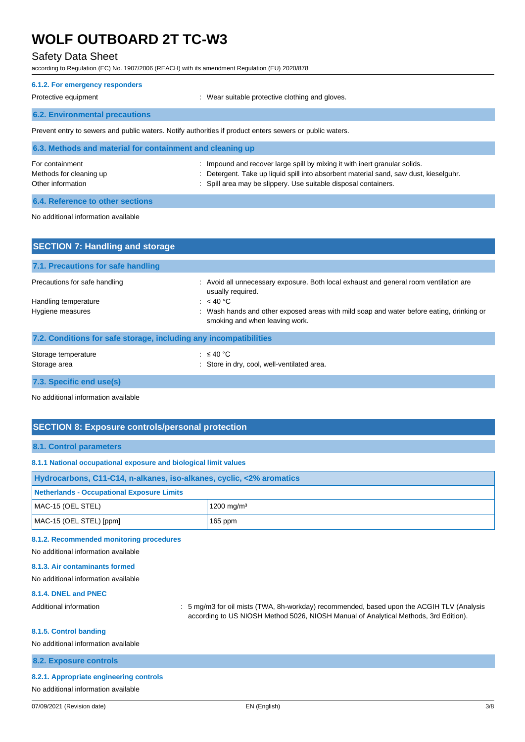## Safety Data Sheet

according to Regulation (EC) No. 1907/2006 (REACH) with its amendment Regulation (EU) 2020/878

### **6.1.2. For emergency responders**

Protective equipment : Wear suitable protective clothing and gloves.

### **6.2. Environmental precautions**

Prevent entry to sewers and public waters. Notify authorities if product enters sewers or public waters.

| 6.3. Methods and material for containment and cleaning up       |                                                                                                                                                                                                                                        |  |
|-----------------------------------------------------------------|----------------------------------------------------------------------------------------------------------------------------------------------------------------------------------------------------------------------------------------|--|
| For containment<br>Methods for cleaning up<br>Other information | : Impound and recover large spill by mixing it with inert granular solids.<br>: Detergent. Take up liquid spill into absorbent material sand, saw dust, kieselguhr.<br>: Spill area may be slippery. Use suitable disposal containers. |  |
|                                                                 |                                                                                                                                                                                                                                        |  |

## **6.4. Reference to other sections**

#### No additional information available

| <b>SECTION 7: Handling and storage</b>                            |                                                                                                                            |
|-------------------------------------------------------------------|----------------------------------------------------------------------------------------------------------------------------|
| 7.1. Precautions for safe handling                                |                                                                                                                            |
| Precautions for safe handling                                     | : Avoid all unnecessary exposure. Both local exhaust and general room ventilation are<br>usually required.                 |
| Handling temperature                                              | : $<$ 40 °C                                                                                                                |
| Hygiene measures                                                  | : Wash hands and other exposed areas with mild soap and water before eating, drinking or<br>smoking and when leaving work. |
| 7.2. Conditions for safe storage, including any incompatibilities |                                                                                                                            |
| Storage temperature<br>Storage area                               | : $\leq 40$ °C<br>: Store in dry, cool, well-ventilated area.                                                              |
| 7.3. Specific end use(s)                                          |                                                                                                                            |

No additional information available

## **SECTION 8: Exposure controls/personal protection**

#### **8.1. Control parameters**

#### **8.1.1 National occupational exposure and biological limit values**

| Hydrocarbons, C11-C14, n-alkanes, iso-alkanes, cyclic, <2% aromatics |                        |  |
|----------------------------------------------------------------------|------------------------|--|
| Netherlands - Occupational Exposure Limits                           |                        |  |
| MAC-15 (OEL STEL)                                                    | 1200 mg/m <sup>3</sup> |  |
| MAC-15 (OEL STEL) [ppm]                                              | $165$ ppm              |  |

#### **8.1.2. Recommended monitoring procedures**

No additional information available

#### **8.1.3. Air contaminants formed**

No additional information available

#### **8.1.4. DNEL and PNEC**

Additional information : 5 mg/m3 for oil mists (TWA, 8h-workday) recommended, based upon the ACGIH TLV (Analysis according to US NIOSH Method 5026, NIOSH Manual of Analytical Methods, 3rd Edition).

#### **8.1.5. Control banding**

No additional information available

#### **8.2. Exposure controls**

#### **8.2.1. Appropriate engineering controls**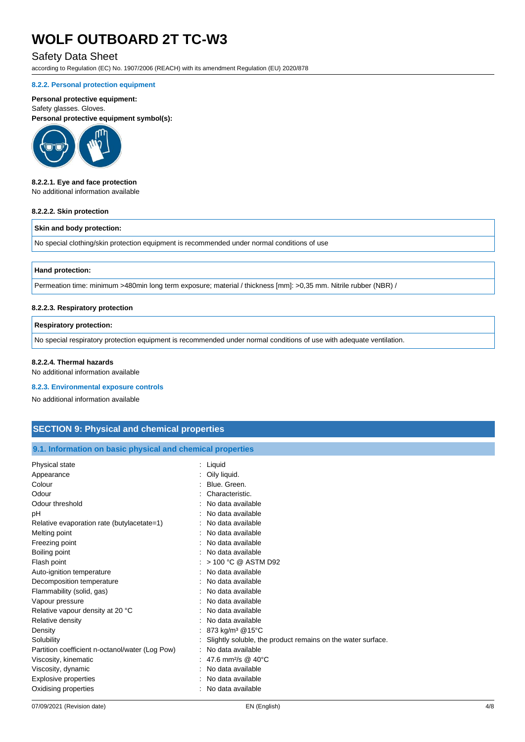## Safety Data Sheet

according to Regulation (EC) No. 1907/2006 (REACH) with its amendment Regulation (EU) 2020/878

#### **8.2.2. Personal protection equipment**

### **Personal protective equipment:**

Safety glasses. Gloves. **Personal protective equipment symbol(s):**



#### **8.2.2.1. Eye and face protection**

No additional information available

#### **8.2.2.2. Skin protection**

#### **Skin and body protection:**

No special clothing/skin protection equipment is recommended under normal conditions of use

#### **Hand protection:**

Permeation time: minimum >480min long term exposure; material / thickness [mm]: >0,35 mm. Nitrile rubber (NBR) /

#### **8.2.2.3. Respiratory protection**

### **Respiratory protection:**

No special respiratory protection equipment is recommended under normal conditions of use with adequate ventilation.

#### **8.2.2.4. Thermal hazards**

No additional information available

#### **8.2.3. Environmental exposure controls**

No additional information available

## **SECTION 9: Physical and chemical properties**

#### **9.1. Information on basic physical and chemical properties**

| Physical state                                  | Liquid                                                      |
|-------------------------------------------------|-------------------------------------------------------------|
| Appearance                                      | Oily liquid.                                                |
| Colour                                          | Blue, Green.                                                |
| Odour                                           | Characteristic.                                             |
| Odour threshold                                 | No data available                                           |
| рH                                              | No data available                                           |
| Relative evaporation rate (butylacetate=1)      | No data available                                           |
| Melting point                                   | No data available                                           |
| Freezing point                                  | No data available                                           |
| Boiling point                                   | No data available                                           |
| Flash point                                     | > 100 °C @ ASTM D92                                         |
| Auto-ignition temperature                       | No data available                                           |
| Decomposition temperature                       | No data available                                           |
| Flammability (solid, gas)                       | No data available                                           |
| Vapour pressure                                 | No data available                                           |
| Relative vapour density at 20 °C                | No data available                                           |
| Relative density                                | No data available                                           |
| Density                                         | 873 kg/m <sup>3</sup> @15°C                                 |
| Solubility                                      | Slightly soluble, the product remains on the water surface. |
| Partition coefficient n-octanol/water (Log Pow) | No data available                                           |
| Viscosity, kinematic                            | 47.6 mm <sup>2</sup> /s @ 40°C                              |
| Viscosity, dynamic                              | No data available                                           |
| <b>Explosive properties</b>                     | No data available                                           |
| Oxidising properties                            | No data available                                           |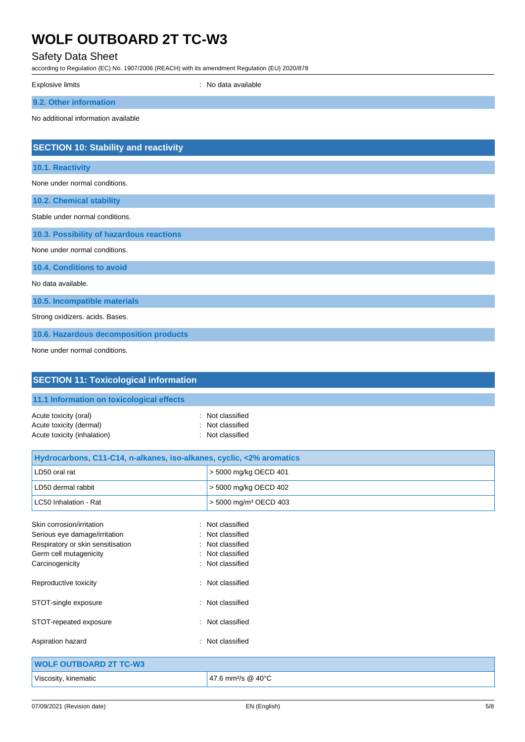## Safety Data Sheet

.<br>α to Regulation (EC) No. 1907/2006 (REACH) with its amendment Regulation (EU) 2020/878

| according to inegulation (EO) No. 1907/2000 (NEAOH) with its americanem negulation (EO) 2020/07 0<br><b>Explosive limits</b> | : No data available               |
|------------------------------------------------------------------------------------------------------------------------------|-----------------------------------|
| 9.2. Other information                                                                                                       |                                   |
| No additional information available                                                                                          |                                   |
|                                                                                                                              |                                   |
| <b>SECTION 10: Stability and reactivity</b>                                                                                  |                                   |
| 10.1. Reactivity                                                                                                             |                                   |
| None under normal conditions.                                                                                                |                                   |
| 10.2. Chemical stability                                                                                                     |                                   |
| Stable under normal conditions.                                                                                              |                                   |
| 10.3. Possibility of hazardous reactions                                                                                     |                                   |
| None under normal conditions.                                                                                                |                                   |
| 10.4. Conditions to avoid                                                                                                    |                                   |
| No data available.                                                                                                           |                                   |
| 10.5. Incompatible materials                                                                                                 |                                   |
| Strong oxidizers. acids. Bases.                                                                                              |                                   |
| 10.6. Hazardous decomposition products                                                                                       |                                   |
| None under normal conditions.                                                                                                |                                   |
|                                                                                                                              |                                   |
| <b>SECTION 11: Toxicological information</b>                                                                                 |                                   |
| 11.1 Information on toxicological effects                                                                                    |                                   |
| Acute toxicity (oral)                                                                                                        | Not classified                    |
| Acute toxicity (dermal)<br>Acute toxicity (inhalation)                                                                       | Not classified<br>Not classified  |
|                                                                                                                              |                                   |
| Hydrocarbons, C11-C14, n-alkanes, iso-alkanes, cyclic, <2% aromatics<br>LD50 oral rat                                        | > 5000 mg/kg OECD 401             |
| LD50 dermal rabbit                                                                                                           | > 5000 mg/kg OECD 402             |
| LC50 Inhalation - Rat                                                                                                        | > 5000 mg/m <sup>3</sup> OECD 403 |
|                                                                                                                              |                                   |
| Skin corrosion/irritation<br>Serious eye damage/irritation                                                                   | Not classified<br>Not classified  |
| Respiratory or skin sensitisation                                                                                            | Not classified                    |
| Germ cell mutagenicity                                                                                                       | Not classified                    |

| Carcinogenicity        | : Not classified    |
|------------------------|---------------------|
| Reproductive toxicity  | : Not classified    |
| STOT-single exposure   | : Not classified    |
| STOT-repeated exposure | : Not classified    |
| Aspiration hazard      | Not classified<br>٠ |

| <b>WOLF OUTBOARD 2T TC-W3</b> |                                              |
|-------------------------------|----------------------------------------------|
| Viscosity, kinematic          | $147.6$ mm <sup>2</sup> /s @ 40 $^{\circ}$ C |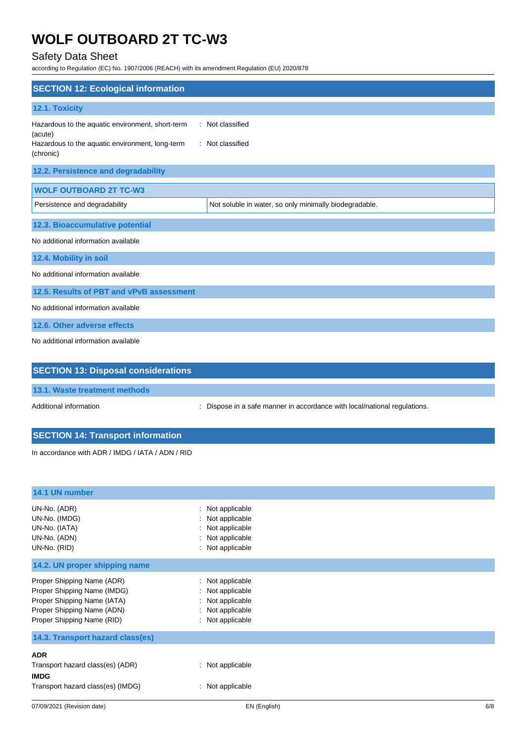## Safety Data Sheet

according to Regulation (EC) No. 1907/2006 (REACH) with its amendment Regulation (EU) 2020/878

| <b>SECTION 12: Ecological information</b>                                                                                   |                                                        |  |  |  |
|-----------------------------------------------------------------------------------------------------------------------------|--------------------------------------------------------|--|--|--|
| 12.1. Toxicity                                                                                                              |                                                        |  |  |  |
| Hazardous to the aquatic environment, short-term<br>(acute)<br>Hazardous to the aquatic environment, long-term<br>(chronic) | : Not classified<br>: Not classified                   |  |  |  |
| 12.2. Persistence and degradability                                                                                         |                                                        |  |  |  |
| <b>WOLF OUTBOARD 2T TC-W3</b>                                                                                               |                                                        |  |  |  |
| Persistence and degradability                                                                                               | Not soluble in water, so only minimally biodegradable. |  |  |  |
| 12.3. Bioaccumulative potential                                                                                             |                                                        |  |  |  |
| No additional information available                                                                                         |                                                        |  |  |  |
| 12.4. Mobility in soil                                                                                                      |                                                        |  |  |  |
| No additional information available                                                                                         |                                                        |  |  |  |
| 12.5. Results of PBT and vPvB assessment                                                                                    |                                                        |  |  |  |
| No additional information available                                                                                         |                                                        |  |  |  |
| 12.6. Other adverse effects                                                                                                 |                                                        |  |  |  |
| No additional information available                                                                                         |                                                        |  |  |  |
|                                                                                                                             |                                                        |  |  |  |
| <b>SECTION 13: Disposal considerations</b>                                                                                  |                                                        |  |  |  |

### **13.1. Waste treatment methods**

Additional information **interest in a safe manner in accordance with local/national regulations.** 

## **SECTION 14: Transport information**

In accordance with ADR / IMDG / IATA / ADN / RID

| 14.1 UN number                                                                                                                                       |                                                                                                  |
|------------------------------------------------------------------------------------------------------------------------------------------------------|--------------------------------------------------------------------------------------------------|
| UN-No. (ADR)<br>UN-No. (IMDG)<br>UN-No. (IATA)<br>UN-No. (ADN)<br>UN-No. (RID)                                                                       | : Not applicable<br>: Not applicable<br>: Not applicable<br>: Not applicable<br>: Not applicable |
| 14.2. UN proper shipping name                                                                                                                        |                                                                                                  |
| Proper Shipping Name (ADR)<br>Proper Shipping Name (IMDG)<br>Proper Shipping Name (IATA)<br>Proper Shipping Name (ADN)<br>Proper Shipping Name (RID) | : Not applicable<br>: Not applicable<br>: Not applicable<br>: Not applicable<br>: Not applicable |
| 14.3. Transport hazard class(es)                                                                                                                     |                                                                                                  |
| <b>ADR</b><br>Transport hazard class(es) (ADR)<br><b>IMDG</b><br>Transport hazard class(es) (IMDG)                                                   | : Not applicable<br>$:$ Not applicable                                                           |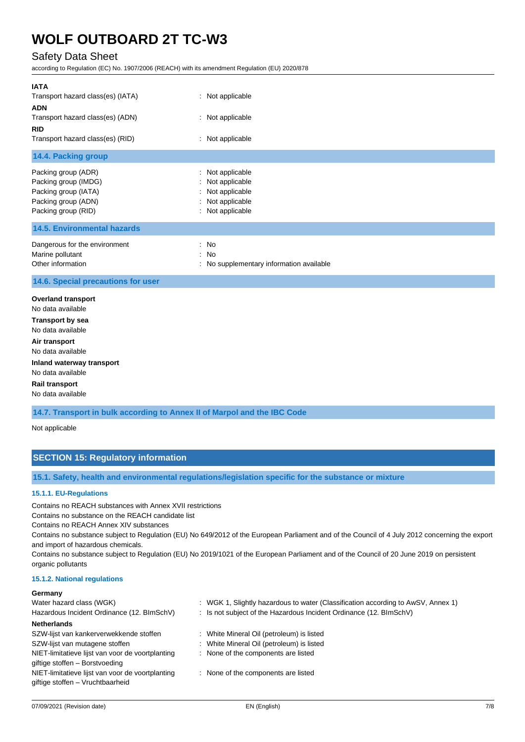## Safety Data Sheet

according to Regulation (EC) No. 1907/2006 (REACH) with its amendment Regulation (EU) 2020/878

| <b>IATA</b><br>Transport hazard class(es) (IATA)                                                                  | : Not applicable                                                                             |  |  |
|-------------------------------------------------------------------------------------------------------------------|----------------------------------------------------------------------------------------------|--|--|
| <b>ADN</b>                                                                                                        |                                                                                              |  |  |
| Transport hazard class(es) (ADN)<br><b>RID</b>                                                                    | : Not applicable                                                                             |  |  |
| Transport hazard class(es) (RID)                                                                                  | : Not applicable                                                                             |  |  |
| 14.4. Packing group                                                                                               |                                                                                              |  |  |
| Packing group (ADR)<br>Packing group (IMDG)<br>Packing group (IATA)<br>Packing group (ADN)<br>Packing group (RID) | : Not applicable<br>Not applicable<br>Not applicable<br>: Not applicable<br>: Not applicable |  |  |
| <b>14.5. Environmental hazards</b>                                                                                |                                                                                              |  |  |
| Dangerous for the environment<br>Marine pollutant<br>Other information                                            | : No<br>: No<br>: No supplementary information available                                     |  |  |
| 14.6. Special precautions for user                                                                                |                                                                                              |  |  |
| <b>Overland transport</b><br>No data available<br><b>Transport by sea</b><br>No data available                    |                                                                                              |  |  |
| Air transport<br>No data available                                                                                |                                                                                              |  |  |
| Inland waterway transport<br>No data available                                                                    |                                                                                              |  |  |
| <b>Rail transport</b><br>No data available                                                                        |                                                                                              |  |  |
| 14.7. Transport in bulk according to Annex II of Marpol and the IBC Code                                          |                                                                                              |  |  |
| Not applicable                                                                                                    |                                                                                              |  |  |

## **SECTION 15: Regulatory information**

**15.1. Safety, health and environmental regulations/legislation specific for the substance or mixture**

#### **15.1.1. EU-Regulations**

Contains no REACH substances with Annex XVII restrictions

Contains no substance on the REACH candidate list

Contains no REACH Annex XIV substances

Contains no substance subject to Regulation (EU) No 649/2012 of the European Parliament and of the Council of 4 July 2012 concerning the export and import of hazardous chemicals.

Contains no substance subject to Regulation (EU) No 2019/1021 of the European Parliament and of the Council of 20 June 2019 on persistent organic pollutants

#### **15.1.2. National regulations**

#### **Germany**

| Water hazard class (WGK)                         | : WGK 1, Slightly hazardous to water (Classification according to AwSV, Annex 1) |
|--------------------------------------------------|----------------------------------------------------------------------------------|
| Hazardous Incident Ordinance (12. BImSchV)       | : Is not subject of the Hazardous Incident Ordinance (12. BImSchV)               |
| <b>Netherlands</b>                               |                                                                                  |
| SZW-lijst van kankerverwekkende stoffen          | : White Mineral Oil (petroleum) is listed                                        |
| SZW-lijst van mutagene stoffen                   | : White Mineral Oil (petroleum) is listed                                        |
| NIET-limitatieve lijst van voor de voortplanting | : None of the components are listed                                              |
| giftige stoffen - Borstvoeding                   |                                                                                  |
| NIET-limitatieve lijst van voor de voortplanting | : None of the components are listed                                              |
| giftige stoffen - Vruchtbaarheid                 |                                                                                  |